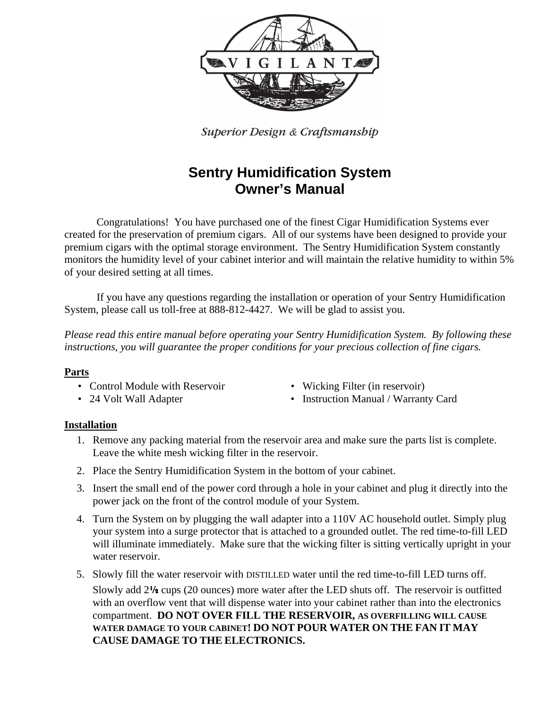

Superior Design & Craftsmanship

# **Sentry Humidification System Owner's Manual**

Congratulations! You have purchased one of the finest Cigar Humidification Systems ever created for the preservation of premium cigars. All of our systems have been designed to provide your premium cigars with the optimal storage environment. The Sentry Humidification System constantly monitors the humidity level of your cabinet interior and will maintain the relative humidity to within 5% of your desired setting at all times.

If you have any questions regarding the installation or operation of your Sentry Humidification System, please call us toll-free at 888-812-4427. We will be glad to assist you.

*Please read this entire manual before operating your Sentry Humidification System. By following these instructions, you will guarantee the proper conditions for your precious collection of fine cigars.* 

#### **Parts**

- Control Module with Reservoir Wicking Filter (in reservoir)
- 
- 
- 24 Volt Wall Adapter Instruction Manual / Warranty Card

#### **Installation**

- 1. Remove any packing material from the reservoir area and make sure the parts list is complete. Leave the white mesh wicking filter in the reservoir.
- 2. Place the Sentry Humidification System in the bottom of your cabinet.
- 3. Insert the small end of the power cord through a hole in your cabinet and plug it directly into the power jack on the front of the control module of your System.
- 4. Turn the System on by plugging the wall adapter into a 110V AC household outlet. Simply plug your system into a surge protector that is attached to a grounded outlet. The red time-to-fill LED will illuminate immediately. Make sure that the wicking filter is sitting vertically upright in your water reservoir.
- 5. Slowly fill the water reservoir with DISTILLED water until the red time-to-fill LED turns off.

Slowly add 2½ cups (20 ounces) more water after the LED shuts off. The reservoir is outfitted with an overflow vent that will dispense water into your cabinet rather than into the electronics compartment. **DO NOT OVER FILL THE RESERVOIR, AS OVERFILLING WILL CAUSE WATER DAMAGE TO YOUR CABINET! DO NOT POUR WATER ON THE FAN IT MAY CAUSE DAMAGE TO THE ELECTRONICS.**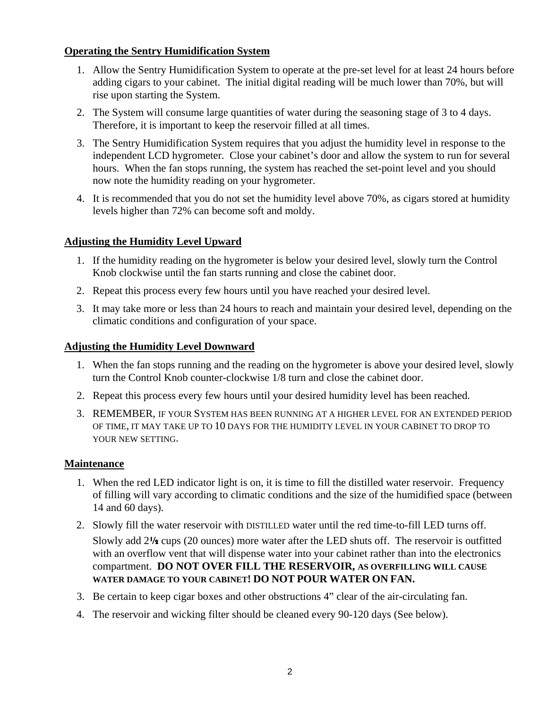### **Operating the Sentry Humidification System**

- 1. Allow the Sentry Humidification System to operate at the pre-set level for at least 24 hours before adding cigars to your cabinet. The initial digital reading will be much lower than 70%, but will rise upon starting the System.
- 2. The System will consume large quantities of water during the seasoning stage of 3 to 4 days. Therefore, it is important to keep the reservoir filled at all times.
- 3. The Sentry Humidification System requires that you adjust the humidity level in response to the independent LCD hygrometer. Close your cabinet's door and allow the system to run for several hours. When the fan stops running, the system has reached the set-point level and you should now note the humidity reading on your hygrometer.
- 4. It is recommended that you do not set the humidity level above 70%, as cigars stored at humidity levels higher than 72% can become soft and moldy.

# **Adjusting the Humidity Level Upward**

- 1. If the humidity reading on the hygrometer is below your desired level, slowly turn the Control Knob clockwise until the fan starts running and close the cabinet door.
- 2. Repeat this process every few hours until you have reached your desired level.
- 3. It may take more or less than 24 hours to reach and maintain your desired level, depending on the climatic conditions and configuration of your space.

# **Adjusting the Humidity Level Downward**

- 1. When the fan stops running and the reading on the hygrometer is above your desired level, slowly turn the Control Knob counter-clockwise 1/8 turn and close the cabinet door.
- 2. Repeat this process every few hours until your desired humidity level has been reached.
- 3. REMEMBER, IF YOUR SYSTEM HAS BEEN RUNNING AT A HIGHER LEVEL FOR AN EXTENDED PERIOD OF TIME, IT MAY TAKE UP TO 10 DAYS FOR THE HUMIDITY LEVEL IN YOUR CABINET TO DROP TO YOUR NEW SETTING.

# **Maintenance**

- 1. When the red LED indicator light is on, it is time to fill the distilled water reservoir. Frequency of filling will vary according to climatic conditions and the size of the humidified space (between 14 and 60 days).
- 2. Slowly fill the water reservoir with DISTILLED water until the red time-to-fill LED turns off.

Slowly add 2½ cups (20 ounces) more water after the LED shuts off. The reservoir is outfitted with an overflow vent that will dispense water into your cabinet rather than into the electronics compartment. **DO NOT OVER FILL THE RESERVOIR, AS OVERFILLING WILL CAUSE WATER DAMAGE TO YOUR CABINET! DO NOT POUR WATER ON FAN.**

- 3. Be certain to keep cigar boxes and other obstructions 4" clear of the air-circulating fan.
- 4. The reservoir and wicking filter should be cleaned every 90-120 days (See below).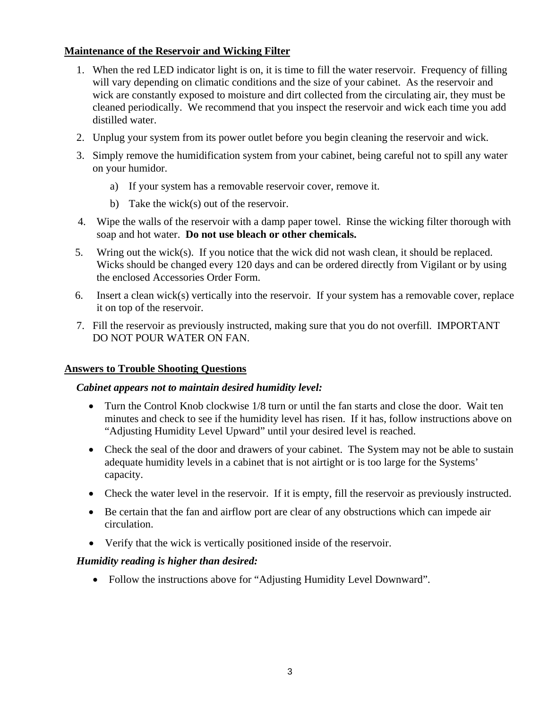# **Maintenance of the Reservoir and Wicking Filter**

- 1. When the red LED indicator light is on, it is time to fill the water reservoir. Frequency of filling will vary depending on climatic conditions and the size of your cabinet. As the reservoir and wick are constantly exposed to moisture and dirt collected from the circulating air, they must be cleaned periodically. We recommend that you inspect the reservoir and wick each time you add distilled water.
- 2. Unplug your system from its power outlet before you begin cleaning the reservoir and wick.
- 3. Simply remove the humidification system from your cabinet, being careful not to spill any water on your humidor.
	- a) If your system has a removable reservoir cover, remove it.
	- b) Take the wick(s) out of the reservoir.
- 4. Wipe the walls of the reservoir with a damp paper towel. Rinse the wicking filter thorough with soap and hot water. **Do not use bleach or other chemicals.**
- 5. Wring out the wick(s). If you notice that the wick did not wash clean, it should be replaced. Wicks should be changed every 120 days and can be ordered directly from Vigilant or by using the enclosed Accessories Order Form.
- 6. Insert a clean wick(s) vertically into the reservoir. If your system has a removable cover, replace it on top of the reservoir.
- 7. Fill the reservoir as previously instructed, making sure that you do not overfill. IMPORTANT DO NOT POUR WATER ON FAN.

#### **Answers to Trouble Shooting Questions**

#### *Cabinet appears not to maintain desired humidity level:*

- Turn the Control Knob clockwise 1/8 turn or until the fan starts and close the door. Wait ten minutes and check to see if the humidity level has risen. If it has, follow instructions above on "Adjusting Humidity Level Upward" until your desired level is reached.
- Check the seal of the door and drawers of your cabinet. The System may not be able to sustain adequate humidity levels in a cabinet that is not airtight or is too large for the Systems' capacity.
- Check the water level in the reservoir. If it is empty, fill the reservoir as previously instructed.
- Be certain that the fan and airflow port are clear of any obstructions which can impede air circulation.
- Verify that the wick is vertically positioned inside of the reservoir.

#### *Humidity reading is higher than desired:*

• Follow the instructions above for "Adjusting Humidity Level Downward".